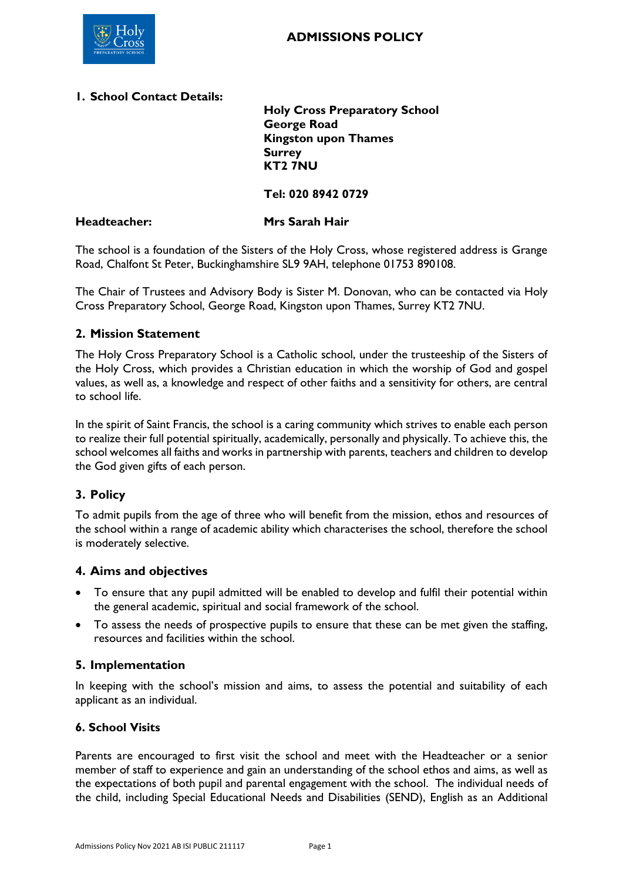

### **1. School Contact Details:**

**Holy Cross Preparatory School George Road Kingston upon Thames Surrey KT2 7NU**

**Tel: 020 8942 0729**

#### **Headteacher: Mrs Sarah Hair**

The school is a foundation of the Sisters of the Holy Cross, whose registered address is Grange Road, Chalfont St Peter, Buckinghamshire SL9 9AH, telephone 01753 890108.

The Chair of Trustees and Advisory Body is Sister M. Donovan, who can be contacted via Holy Cross Preparatory School, George Road, Kingston upon Thames, Surrey KT2 7NU.

## **2. Mission Statement**

The Holy Cross Preparatory School is a Catholic school, under the trusteeship of the Sisters of the Holy Cross, which provides a Christian education in which the worship of God and gospel values, as well as, a knowledge and respect of other faiths and a sensitivity for others, are central to school life.

In the spirit of Saint Francis, the school is a caring community which strives to enable each person to realize their full potential spiritually, academically, personally and physically. To achieve this, the school welcomes all faiths and works in partnership with parents, teachers and children to develop the God given gifts of each person.

# **3. Policy**

To admit pupils from the age of three who will benefit from the mission, ethos and resources of the school within a range of academic ability which characterises the school, therefore the school is moderately selective.

### **4. Aims and objectives**

- To ensure that any pupil admitted will be enabled to develop and fulfil their potential within the general academic, spiritual and social framework of the school.
- To assess the needs of prospective pupils to ensure that these can be met given the staffing, resources and facilities within the school.

### **5. Implementation**

In keeping with the school's mission and aims, to assess the potential and suitability of each applicant as an individual.

### **6. School Visits**

Parents are encouraged to first visit the school and meet with the Headteacher or a senior member of staff to experience and gain an understanding of the school ethos and aims, as well as the expectations of both pupil and parental engagement with the school. The individual needs of the child, including Special Educational Needs and Disabilities (SEND), English as an Additional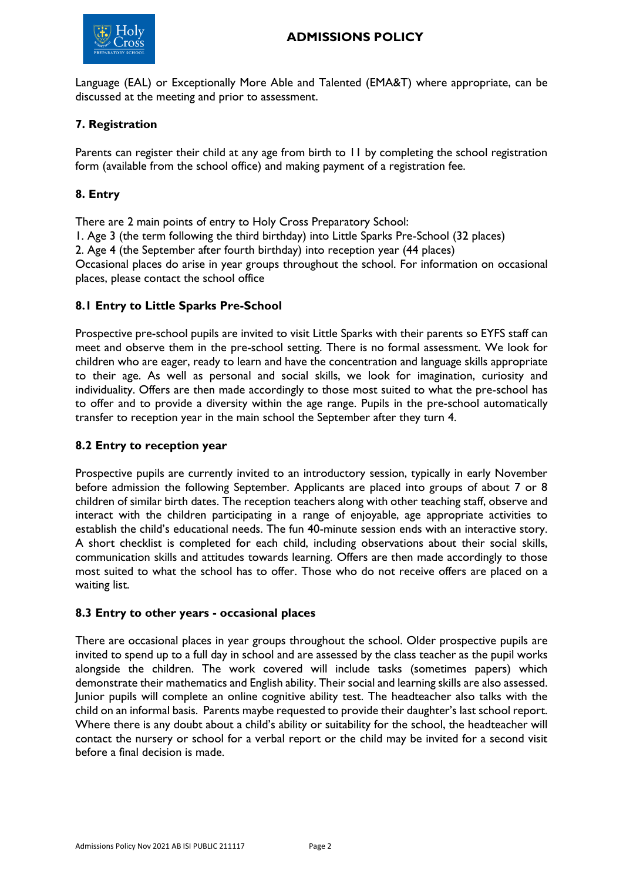

Language (EAL) or Exceptionally More Able and Talented (EMA&T) where appropriate, can be discussed at the meeting and prior to assessment.

### **7. Registration**

Parents can register their child at any age from birth to 11 by completing the school registration form (available from the school office) and making payment of a registration fee.

## **8. Entry**

There are 2 main points of entry to Holy Cross Preparatory School:

1. Age 3 (the term following the third birthday) into Little Sparks Pre-School (32 places)

2. Age 4 (the September after fourth birthday) into reception year (44 places)

Occasional places do arise in year groups throughout the school. For information on occasional places, please contact the school office

### **8.1 Entry to Little Sparks Pre-School**

Prospective pre-school pupils are invited to visit Little Sparks with their parents so EYFS staff can meet and observe them in the pre-school setting. There is no formal assessment. We look for children who are eager, ready to learn and have the concentration and language skills appropriate to their age. As well as personal and social skills, we look for imagination, curiosity and individuality. Offers are then made accordingly to those most suited to what the pre-school has to offer and to provide a diversity within the age range. Pupils in the pre-school automatically transfer to reception year in the main school the September after they turn 4.

### **8.2 Entry to reception year**

Prospective pupils are currently invited to an introductory session, typically in early November before admission the following September. Applicants are placed into groups of about 7 or 8 children of similar birth dates. The reception teachers along with other teaching staff, observe and interact with the children participating in a range of enjoyable, age appropriate activities to establish the child's educational needs. The fun 40-minute session ends with an interactive story. A short checklist is completed for each child, including observations about their social skills, communication skills and attitudes towards learning. Offers are then made accordingly to those most suited to what the school has to offer. Those who do not receive offers are placed on a waiting list.

### **8.3 Entry to other years - occasional places**

There are occasional places in year groups throughout the school. Older prospective pupils are invited to spend up to a full day in school and are assessed by the class teacher as the pupil works alongside the children. The work covered will include tasks (sometimes papers) which demonstrate their mathematics and English ability. Their social and learning skills are also assessed. Junior pupils will complete an online cognitive ability test. The headteacher also talks with the child on an informal basis. Parents maybe requested to provide their daughter's last school report. Where there is any doubt about a child's ability or suitability for the school, the headteacher will contact the nursery or school for a verbal report or the child may be invited for a second visit before a final decision is made.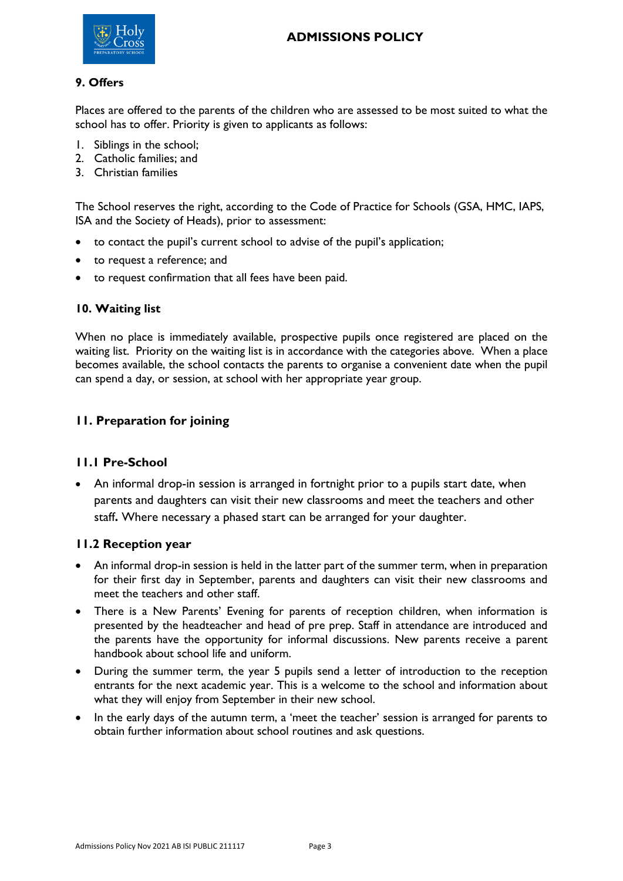

### **9. Offers**

Places are offered to the parents of the children who are assessed to be most suited to what the school has to offer. Priority is given to applicants as follows:

- 1. Siblings in the school;
- 2. Catholic families; and
- 3. Christian families

The School reserves the right, according to the Code of Practice for Schools (GSA, HMC, IAPS, ISA and the Society of Heads), prior to assessment:

- to contact the pupil's current school to advise of the pupil's application;
- to request a reference; and
- to request confirmation that all fees have been paid.

### **10. Waiting list**

When no place is immediately available, prospective pupils once registered are placed on the waiting list. Priority on the waiting list is in accordance with the categories above. When a place becomes available, the school contacts the parents to organise a convenient date when the pupil can spend a day, or session, at school with her appropriate year group.

## **11. Preparation for joining**

### **11.1 Pre-School**

• An informal drop-in session is arranged in fortnight prior to a pupils start date, when parents and daughters can visit their new classrooms and meet the teachers and other staff**.** Where necessary a phased start can be arranged for your daughter.

### **11.2 Reception year**

- An informal drop-in session is held in the latter part of the summer term, when in preparation for their first day in September, parents and daughters can visit their new classrooms and meet the teachers and other staff.
- There is a New Parents' Evening for parents of reception children, when information is presented by the headteacher and head of pre prep. Staff in attendance are introduced and the parents have the opportunity for informal discussions. New parents receive a parent handbook about school life and uniform.
- During the summer term, the year 5 pupils send a letter of introduction to the reception entrants for the next academic year. This is a welcome to the school and information about what they will enjoy from September in their new school.
- In the early days of the autumn term, a 'meet the teacher' session is arranged for parents to obtain further information about school routines and ask questions.